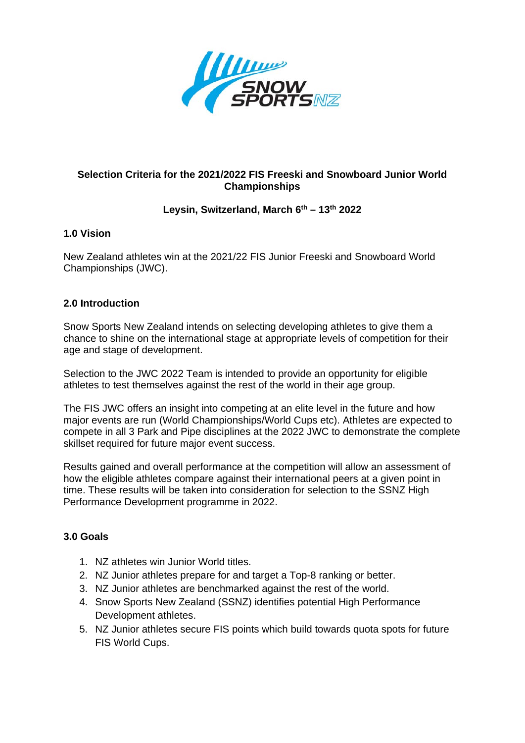

# **Selection Criteria for the 2021/2022 FIS Freeski and Snowboard Junior World Championships**

# **Leysin, Switzerland, March 6th – 13th 2022**

## **1.0 Vision**

New Zealand athletes win at the 2021/22 FIS Junior Freeski and Snowboard World Championships (JWC).

## **2.0 Introduction**

Snow Sports New Zealand intends on selecting developing athletes to give them a chance to shine on the international stage at appropriate levels of competition for their age and stage of development.

Selection to the JWC 2022 Team is intended to provide an opportunity for eligible athletes to test themselves against the rest of the world in their age group.

The FIS JWC offers an insight into competing at an elite level in the future and how major events are run (World Championships/World Cups etc). Athletes are expected to compete in all 3 Park and Pipe disciplines at the 2022 JWC to demonstrate the complete skillset required for future major event success.

Results gained and overall performance at the competition will allow an assessment of how the eligible athletes compare against their international peers at a given point in time. These results will be taken into consideration for selection to the SSNZ High Performance Development programme in 2022.

## **3.0 Goals**

- 1. NZ athletes win Junior World titles.
- 2. NZ Junior athletes prepare for and target a Top-8 ranking or better.
- 3. NZ Junior athletes are benchmarked against the rest of the world.
- 4. Snow Sports New Zealand (SSNZ) identifies potential High Performance Development athletes.
- 5. NZ Junior athletes secure FIS points which build towards quota spots for future FIS World Cups.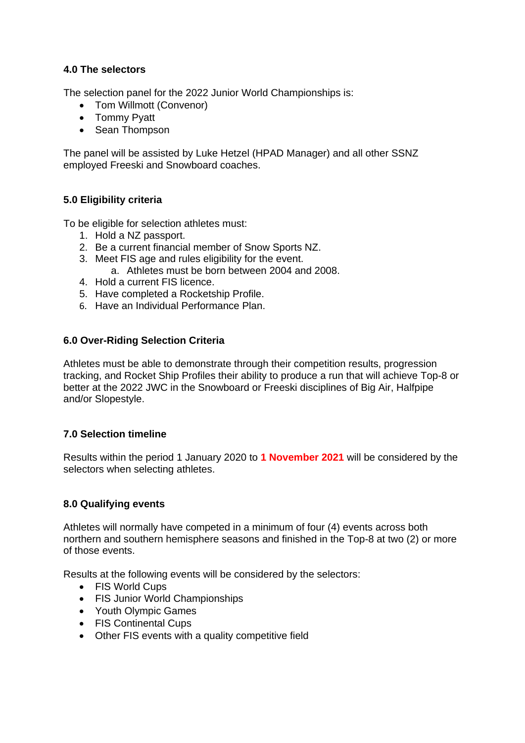### **4.0 The selectors**

The selection panel for the 2022 Junior World Championships is:

- Tom Willmott (Convenor)
- Tommy Pyatt
- Sean Thompson

The panel will be assisted by Luke Hetzel (HPAD Manager) and all other SSNZ employed Freeski and Snowboard coaches.

### **5.0 Eligibility criteria**

To be eligible for selection athletes must:

- 1. Hold a NZ passport.
- 2. Be a current financial member of Snow Sports NZ.
- 3. Meet FIS age and rules eligibility for the event.
	- a. Athletes must be born between 2004 and 2008.
- 4. Hold a current FIS licence.
- 5. Have completed a Rocketship Profile.
- 6. Have an Individual Performance Plan.

## **6.0 Over-Riding Selection Criteria**

Athletes must be able to demonstrate through their competition results, progression tracking, and Rocket Ship Profiles their ability to produce a run that will achieve Top-8 or better at the 2022 JWC in the Snowboard or Freeski disciplines of Big Air, Halfpipe and/or Slopestyle.

#### **7.0 Selection timeline**

Results within the period 1 January 2020 to **1 November 2021** will be considered by the selectors when selecting athletes.

#### **8.0 Qualifying events**

Athletes will normally have competed in a minimum of four (4) events across both northern and southern hemisphere seasons and finished in the Top-8 at two (2) or more of those events.

Results at the following events will be considered by the selectors:

- FIS World Cups
- FIS Junior World Championships
- Youth Olympic Games
- FIS Continental Cups
- Other FIS events with a quality competitive field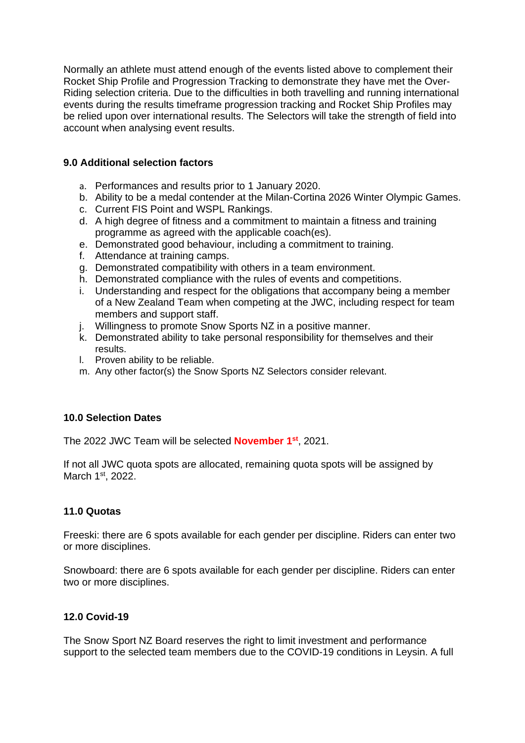Normally an athlete must attend enough of the events listed above to complement their Rocket Ship Profile and Progression Tracking to demonstrate they have met the Over-Riding selection criteria. Due to the difficulties in both travelling and running international events during the results timeframe progression tracking and Rocket Ship Profiles may be relied upon over international results. The Selectors will take the strength of field into account when analysing event results.

### **9.0 Additional selection factors**

- a. Performances and results prior to 1 January 2020.
- b. Ability to be a medal contender at the Milan-Cortina 2026 Winter Olympic Games.
- c. Current FIS Point and WSPL Rankings.
- d. A high degree of fitness and a commitment to maintain a fitness and training programme as agreed with the applicable coach(es).
- e. Demonstrated good behaviour, including a commitment to training.
- f. Attendance at training camps.
- g. Demonstrated compatibility with others in a team environment.
- h. Demonstrated compliance with the rules of events and competitions.
- i. Understanding and respect for the obligations that accompany being a member of a New Zealand Team when competing at the JWC, including respect for team members and support staff.
- j. Willingness to promote Snow Sports NZ in a positive manner.
- k. Demonstrated ability to take personal responsibility for themselves and their results.
- l. Proven ability to be reliable.
- m. Any other factor(s) the Snow Sports NZ Selectors consider relevant.

## **10.0 Selection Dates**

The 2022 JWC Team will be selected **November 1st**, 2021.

If not all JWC quota spots are allocated, remaining quota spots will be assigned by March 1<sup>st</sup>, 2022.

#### **11.0 Quotas**

Freeski: there are 6 spots available for each gender per discipline. Riders can enter two or more disciplines.

Snowboard: there are 6 spots available for each gender per discipline. Riders can enter two or more disciplines.

## **12.0 Covid-19**

The Snow Sport NZ Board reserves the right to limit investment and performance support to the selected team members due to the COVID-19 conditions in Leysin. A full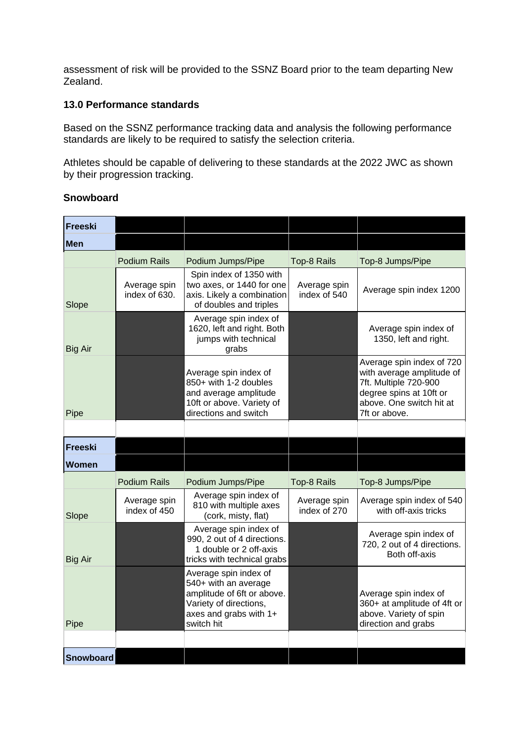assessment of risk will be provided to the SSNZ Board prior to the team departing New Zealand.

#### **13.0 Performance standards**

Based on the SSNZ performance tracking data and analysis the following performance standards are likely to be required to satisfy the selection criteria.

Athletes should be capable of delivering to these standards at the 2022 JWC as shown by their progression tracking.

#### **Snowboard**

| <b>Freeski</b> |                               |                                                                                                                                               |                              |                                                                                                                                                         |
|----------------|-------------------------------|-----------------------------------------------------------------------------------------------------------------------------------------------|------------------------------|---------------------------------------------------------------------------------------------------------------------------------------------------------|
| <b>Men</b>     |                               |                                                                                                                                               |                              |                                                                                                                                                         |
|                | <b>Podium Rails</b>           | Podium Jumps/Pipe                                                                                                                             | Top-8 Rails                  | Top-8 Jumps/Pipe                                                                                                                                        |
| Slope          | Average spin<br>index of 630. | Spin index of 1350 with<br>two axes, or 1440 for one<br>axis. Likely a combination<br>of doubles and triples                                  | Average spin<br>index of 540 | Average spin index 1200                                                                                                                                 |
| <b>Big Air</b> |                               | Average spin index of<br>1620, left and right. Both<br>jumps with technical<br>grabs                                                          |                              | Average spin index of<br>1350, left and right.                                                                                                          |
| Pipe           |                               | Average spin index of<br>850+ with 1-2 doubles<br>and average amplitude<br>10ft or above. Variety of<br>directions and switch                 |                              | Average spin index of 720<br>with average amplitude of<br>7ft. Multiple 720-900<br>degree spins at 10ft or<br>above. One switch hit at<br>7ft or above. |
|                |                               |                                                                                                                                               |                              |                                                                                                                                                         |
| Freeski        |                               |                                                                                                                                               |                              |                                                                                                                                                         |
| Women          |                               |                                                                                                                                               |                              |                                                                                                                                                         |
|                | <b>Podium Rails</b>           | Podium Jumps/Pipe                                                                                                                             | Top-8 Rails                  | Top-8 Jumps/Pipe                                                                                                                                        |
| Slope          | Average spin<br>index of 450  | Average spin index of<br>810 with multiple axes<br>(cork, misty, flat)                                                                        | Average spin<br>index of 270 | Average spin index of 540<br>with off-axis tricks                                                                                                       |
| <b>Big Air</b> |                               | Average spin index of<br>990, 2 out of 4 directions.<br>1 double or 2 off-axis<br>tricks with technical grabs                                 |                              | Average spin index of<br>720, 2 out of 4 directions.<br>Both off-axis                                                                                   |
| Pipe           |                               | Average spin index of<br>540+ with an average<br>amplitude of 6ft or above.<br>Variety of directions,<br>axes and grabs with 1+<br>switch hit |                              | Average spin index of<br>360+ at amplitude of 4ft or<br>above. Variety of spin<br>direction and grabs                                                   |
|                |                               |                                                                                                                                               |                              |                                                                                                                                                         |
| Snowboard      |                               |                                                                                                                                               |                              |                                                                                                                                                         |